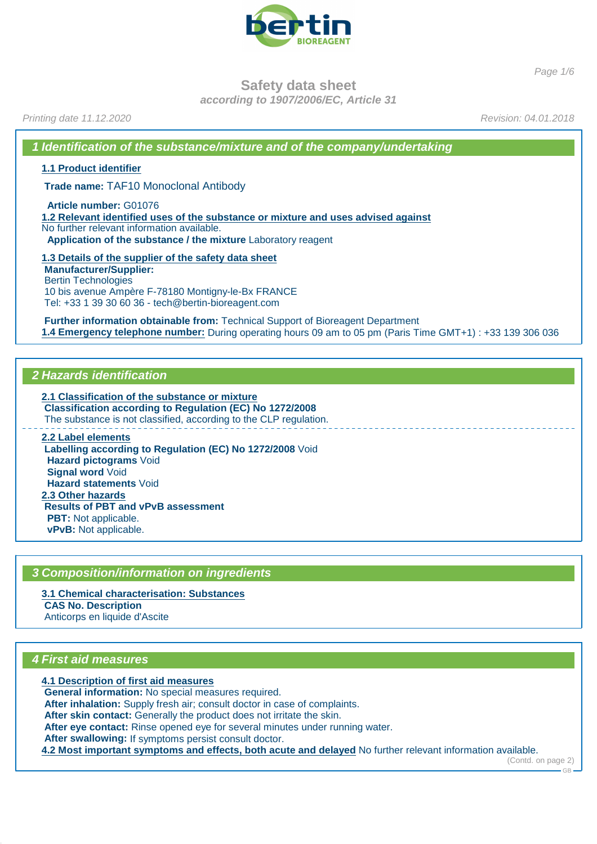

Page 1/6

**Safety data sheet**

**according to 1907/2006/EC, Article 31**

Printing date 11.12.2020 **Revision: 04.01.2018** 

**1 Identification of the substance/mixture and of the company/undertaking**

**1.1 Product identifier**

**Trade name:** TAF10 Monoclonal Antibody

**Article number:** G01076

**1.2 Relevant identified uses of the substance or mixture and uses advised against** No further relevant information available. **Application of the substance / the mixture** Laboratory reagent

**1.3 Details of the supplier of the safety data sheet Manufacturer/Supplier:** Bertin Technologies 10 bis avenue Ampère F-78180 Montigny-le-Bx FRANCE Tel: +33 1 39 30 60 36 - tech@bertin-bioreagent.com

**Further information obtainable from:** Technical Support of Bioreagent Department **1.4 Emergency telephone number:** During operating hours 09 am to 05 pm (Paris Time GMT+1) : +33 139 306 036

#### **2 Hazards identification**

**2.1 Classification of the substance or mixture Classification according to Regulation (EC) No 1272/2008** The substance is not classified, according to the CLP regulation. **2.2 Label elements**

**Labelling according to Regulation (EC) No 1272/2008** Void **Hazard pictograms** Void **Signal word** Void **Hazard statements** Void **2.3 Other hazards Results of PBT and vPvB assessment PBT:** Not applicable. **vPvB:** Not applicable.

#### **3 Composition/information on ingredients**

**3.1 Chemical characterisation: Substances CAS No. Description** Anticorps en liquide d'Ascite

#### **4 First aid measures**

**4.1 Description of first aid measures General information:** No special measures required. **After inhalation:** Supply fresh air; consult doctor in case of complaints. **After skin contact:** Generally the product does not irritate the skin. **After eye contact:** Rinse opened eye for several minutes under running water. **After swallowing:** If symptoms persist consult doctor. **4.2 Most important symptoms and effects, both acute and delayed** No further relevant information available.

(Contd. on page 2)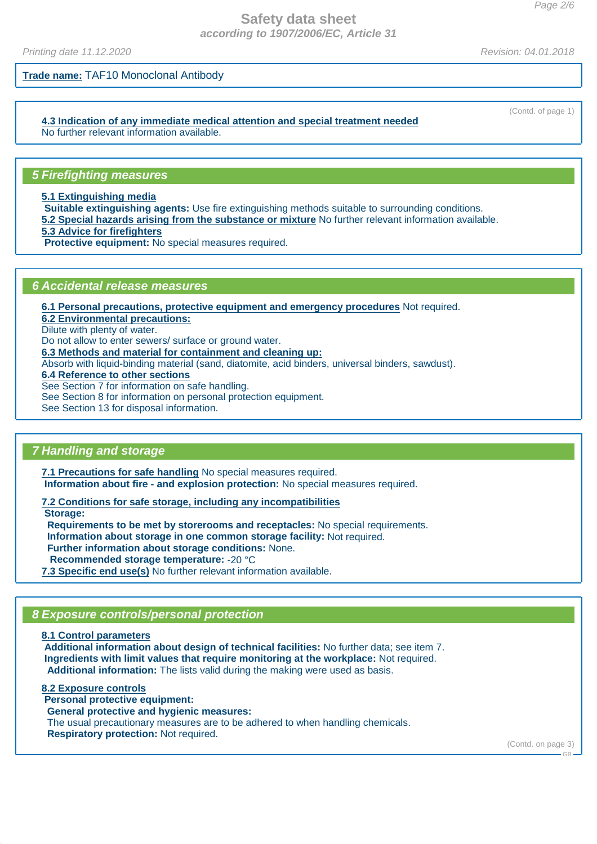Printing date 11.12.2020 **Revision: 04.01.2018** 

**Trade name:** TAF10 Monoclonal Antibody

**4.3 Indication of any immediate medical attention and special treatment needed** No further relevant information available.

#### **5 Firefighting measures**

**5.1 Extinguishing media**

**Suitable extinguishing agents:** Use fire extinguishing methods suitable to surrounding conditions.

**5.2 Special hazards arising from the substance or mixture** No further relevant information available.

**5.3 Advice for firefighters**

**Protective equipment:** No special measures required.

#### **6 Accidental release measures**

**6.1 Personal precautions, protective equipment and emergency procedures** Not required.

**6.2 Environmental precautions:**

Dilute with plenty of water.

Do not allow to enter sewers/ surface or ground water.

**6.3 Methods and material for containment and cleaning up:**

Absorb with liquid-binding material (sand, diatomite, acid binders, universal binders, sawdust).

**6.4 Reference to other sections**

See Section 7 for information on safe handling.

See Section 8 for information on personal protection equipment.

See Section 13 for disposal information.

# **7 Handling and storage**

**7.1 Precautions for safe handling** No special measures required. **Information about fire - and explosion protection:** No special measures required.

**7.2 Conditions for safe storage, including any incompatibilities**

**Storage:**

**Requirements to be met by storerooms and receptacles:** No special requirements.

**Information about storage in one common storage facility:** Not required.

**Further information about storage conditions:** None.

**Recommended storage temperature:** -20 °C

**7.3 Specific end use(s)** No further relevant information available.

# **8 Exposure controls/personal protection**

**8.1 Control parameters Additional information about design of technical facilities:** No further data; see item 7. **Ingredients with limit values that require monitoring at the workplace:** Not required. **Additional information:** The lists valid during the making were used as basis.

**8.2 Exposure controls Personal protective equipment: General protective and hygienic measures:** The usual precautionary measures are to be adhered to when handling chemicals. **Respiratory protection:** Not required.

(Contd. on page 3)

 $-GR$ 

(Contd. of page 1)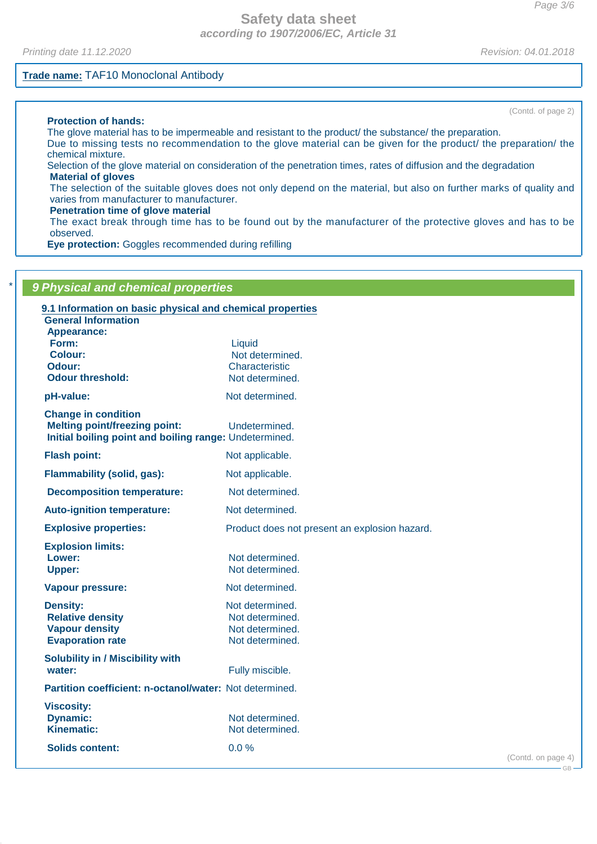Printing date 11.12.2020 **Revision: 04.01.2018** 

#### **Trade name:** TAF10 Monoclonal Antibody

**Protection of hands:**

The glove material has to be impermeable and resistant to the product/ the substance/ the preparation. Due to missing tests no recommendation to the glove material can be given for the product/ the preparation/ the chemical mixture.

Selection of the glove material on consideration of the penetration times, rates of diffusion and the degradation **Material of gloves**

The selection of the suitable gloves does not only depend on the material, but also on further marks of quality and varies from manufacturer to manufacturer.

#### **Penetration time of glove material**

The exact break through time has to be found out by the manufacturer of the protective gloves and has to be observed.

**Eye protection:** Goggles recommended during refilling

| 9 Physical and chemical properties                                                                                           |                                                                          |                    |
|------------------------------------------------------------------------------------------------------------------------------|--------------------------------------------------------------------------|--------------------|
| 9.1 Information on basic physical and chemical properties<br><b>General Information</b><br><b>Appearance:</b>                |                                                                          |                    |
| Form:<br><b>Colour:</b><br>Odour:<br><b>Odour threshold:</b>                                                                 | Liquid<br>Not determined.<br>Characteristic<br>Not determined.           |                    |
| pH-value:                                                                                                                    | Not determined.                                                          |                    |
| <b>Change in condition</b><br><b>Melting point/freezing point:</b><br>Initial boiling point and boiling range: Undetermined. | Undetermined.                                                            |                    |
| <b>Flash point:</b>                                                                                                          | Not applicable.                                                          |                    |
| Flammability (solid, gas):                                                                                                   | Not applicable.                                                          |                    |
| <b>Decomposition temperature:</b>                                                                                            | Not determined.                                                          |                    |
| <b>Auto-ignition temperature:</b>                                                                                            | Not determined.                                                          |                    |
| <b>Explosive properties:</b>                                                                                                 | Product does not present an explosion hazard.                            |                    |
| <b>Explosion limits:</b><br>Lower:<br><b>Upper:</b>                                                                          | Not determined.<br>Not determined.                                       |                    |
| <b>Vapour pressure:</b>                                                                                                      | Not determined.                                                          |                    |
| <b>Density:</b><br><b>Relative density</b><br><b>Vapour density</b><br><b>Evaporation rate</b>                               | Not determined.<br>Not determined.<br>Not determined.<br>Not determined. |                    |
| <b>Solubility in / Miscibility with</b><br>water:                                                                            | Fully miscible.                                                          |                    |
| Partition coefficient: n-octanol/water: Not determined.                                                                      |                                                                          |                    |
| <b>Viscosity:</b><br><b>Dynamic:</b><br><b>Kinematic:</b>                                                                    | Not determined.<br>Not determined.                                       |                    |
| <b>Solids content:</b>                                                                                                       | $0.0\%$                                                                  | (Contd. on page 4) |

(Contd. of page 2)

GB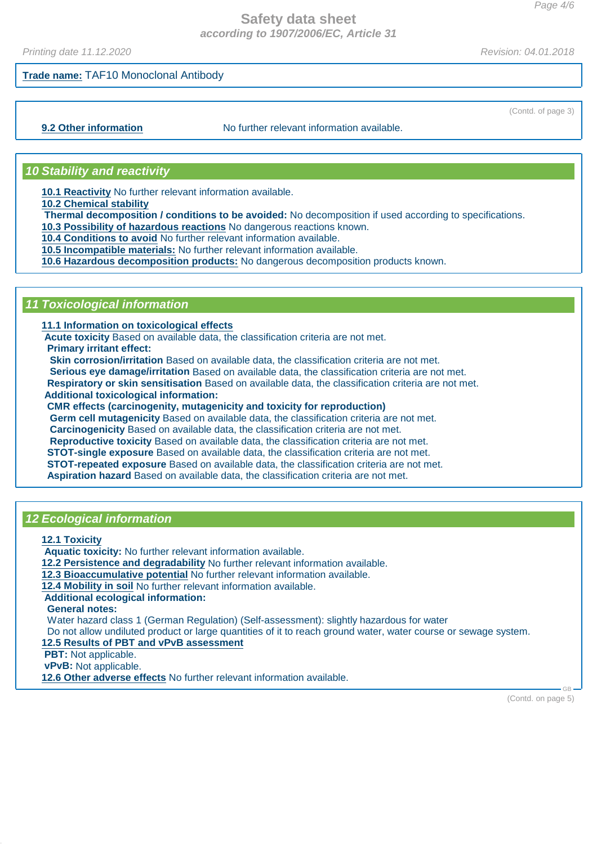Printing date 11.12.2020 **Revision: 04.01.2018** 

(Contd. of page 3)

## **Trade name:** TAF10 Monoclonal Antibody

**9.2 Other information** No further relevant information available.

#### **10 Stability and reactivity**

**10.1 Reactivity** No further relevant information available.

**10.2 Chemical stability**

**Thermal decomposition / conditions to be avoided:** No decomposition if used according to specifications.

**10.3 Possibility of hazardous reactions** No dangerous reactions known.

**10.4 Conditions to avoid** No further relevant information available.

**10.5 Incompatible materials:** No further relevant information available.

**10.6 Hazardous decomposition products:** No dangerous decomposition products known.

# **11 Toxicological information**

**11.1 Information on toxicological effects**

**Acute toxicity** Based on available data, the classification criteria are not met.

**Primary irritant effect:**

**Skin corrosion/irritation** Based on available data, the classification criteria are not met.

**Serious eye damage/irritation** Based on available data, the classification criteria are not met. **Respiratory or skin sensitisation** Based on available data, the classification criteria are not met.

**Additional toxicological information:**

**CMR effects (carcinogenity, mutagenicity and toxicity for reproduction)**

**Germ cell mutagenicity** Based on available data, the classification criteria are not met. **Carcinogenicity** Based on available data, the classification criteria are not met. **Reproductive toxicity** Based on available data, the classification criteria are not met. **STOT-single exposure** Based on available data, the classification criteria are not met. **STOT-repeated exposure** Based on available data, the classification criteria are not met. **Aspiration hazard** Based on available data, the classification criteria are not met.

#### **12 Ecological information**

**12.1 Toxicity**

**Aquatic toxicity:** No further relevant information available.

**12.2 Persistence and degradability** No further relevant information available.

**12.3 Bioaccumulative potential** No further relevant information available.

**12.4 Mobility in soil** No further relevant information available.

**Additional ecological information:**

**General notes:**

Water hazard class 1 (German Regulation) (Self-assessment): slightly hazardous for water

Do not allow undiluted product or large quantities of it to reach ground water, water course or sewage system.

**12.5 Results of PBT and vPvB assessment**

**PBT:** Not applicable.

**vPvB:** Not applicable.

**12.6 Other adverse effects** No further relevant information available.

(Contd. on page 5)

GB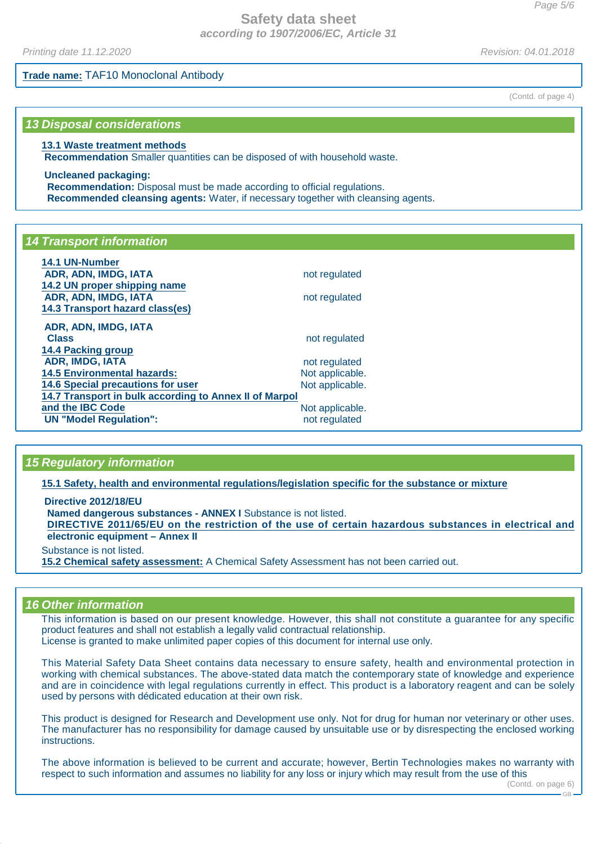Printing date 11.12.2020 **Revision: 04.01.2018** 

**Trade name:** TAF10 Monoclonal Antibody

**13 Disposal considerations**

#### **13.1 Waste treatment methods**

**Recommendation** Smaller quantities can be disposed of with household waste.

**Uncleaned packaging: Recommendation:** Disposal must be made according to official regulations. **Recommended cleansing agents:** Water, if necessary together with cleansing agents.

# **14 Transport information**

| 14.1 UN-Number                                         |                 |  |
|--------------------------------------------------------|-----------------|--|
| ADR, ADN, IMDG, IATA                                   | not regulated   |  |
| 14.2 UN proper shipping name                           |                 |  |
| ADR, ADN, IMDG, IATA                                   | not regulated   |  |
| 14.3 Transport hazard class(es)                        |                 |  |
| ADR, ADN, IMDG, IATA                                   |                 |  |
| <b>Class</b>                                           | not regulated   |  |
| <b>14.4 Packing group</b>                              |                 |  |
| <b>ADR, IMDG, IATA</b>                                 | not regulated   |  |
| <b>14.5 Environmental hazards:</b>                     | Not applicable. |  |
| <b>14.6 Special precautions for user</b>               | Not applicable. |  |
| 14.7 Transport in bulk according to Annex II of Marpol |                 |  |
| and the IBC Code                                       | Not applicable. |  |
| <b>UN "Model Regulation":</b>                          | not regulated   |  |

# **15 Regulatory information**

**15.1 Safety, health and environmental regulations/legislation specific for the substance or mixture**

**Directive 2012/18/EU Named dangerous substances - ANNEX I** Substance is not listed. DIRECTIVE 2011/65/EU on the restriction of the use of certain hazardous substances in electrical and **electronic equipment – Annex II** Substance is not listed.

**15.2 Chemical safety assessment:** A Chemical Safety Assessment has not been carried out.

# **16 Other information**

This information is based on our present knowledge. However, this shall not constitute a guarantee for any specific product features and shall not establish a legally valid contractual relationship. License is granted to make unlimited paper copies of this document for internal use only.

This Material Safety Data Sheet contains data necessary to ensure safety, health and environmental protection in working with chemical substances. The above-stated data match the contemporary state of knowledge and experience and are in coincidence with legal regulations currently in effect. This product is a laboratory reagent and can be solely used by persons with dédicated education at their own risk.

This product is designed for Research and Development use only. Not for drug for human nor veterinary or other uses. The manufacturer has no responsibility for damage caused by unsuitable use or by disrespecting the enclosed working instructions.

The above information is believed to be current and accurate; however, Bertin Technologies makes no warranty with respect to such information and assumes no liability for any loss or injury which may result from the use of this

(Contd. of page 4)